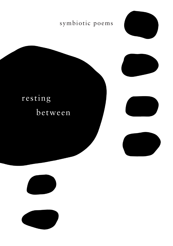## symbiotic poems





## resting between







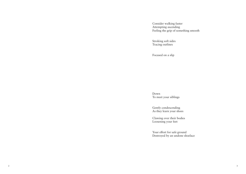Consider walking faster Attempting ascending Feeling the grip of something smooth

 Stroking soft sides Tracing outlines

Focused on a slip

 Down To meet your siblings

 Gently condescending As they learn your shoes

 Clawing over their bodies Loosening your feet

 Your effort for safe ground Destroyed by an undone shoelace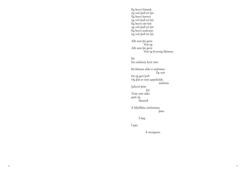Ég heyri fótatak og veit það ert þú Ég heyri hnerra og veit það ert þú Ég heyri eitt hm og veit það ert þú Ég heyri andvarp og veit það ert þú Allt sem þú gerir Veit ég Allt sem þú gerir Veit ég hvernig hljómar Þú Ert sinfónía fyrir mér Þú hlustar ekki á sinfóníur Ég veit En ég geri það Og þín er mín uppáhalds sinfónía Jafnvel þótt þú Trúir mér ekki gæti ég hlustað Á hljóðlátu sinfóníuna þína Í dag

Í gær

Á morgunn.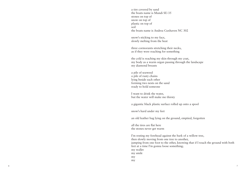a tire covered by sand the boats name is Mundi SU-35 stones on top of snow on top of plastic on top of soil the boats name is Andrea Cuxhaven NC 302

snow's sticking to my face, slowly melting from the heat

three cormorants stretching their necks, as if they were reaching for something

the cold is reaching my skin through my coat, my body as a warm organ passing through the landscape my diamond breasts

a pile of seaweed a pile of rusty chains lying beside each other forming two nests on the sand ready to hold someone

I want to drink the water, but the water will make me thirsty

a gigantic black plastic surface rolled up onto a spool

snow's hard under my feet

an old leather bag lying on the ground, emptied, forgotten

all the tires are flat here the stones never get warm

I'm resting my forehead against the bark of a willow tree, then slowly moving from one tree to another, jumping from one foot to the other, knowing that if I touch the ground with both feet at a time I'm gonna loose something; my wallet my smile my my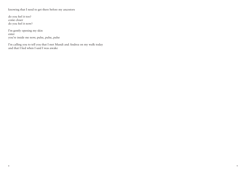knowing that I need to get there before my ancestors

do you feel it too? come closer do you feel it now?

I'm gently opening my skin enter you're inside me now; pulse, pulse, pulse

I'm calling you to tell you that I met Mundi and Andrea on my walk today and that I lied when I said I was awake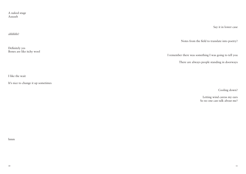A naked stage Aaaaah

Say it in lower case

Notes from the field to translate into poetry?

I remember there was something I was going to tell you

There are always people standing in doorways

I like the wait

It's nice to change it up sometimes

Cooling down?

 Letting wind caress my ears So no one can talk about me?

hmm

ahhhhh?

Definitely yes Bones are like itchy wool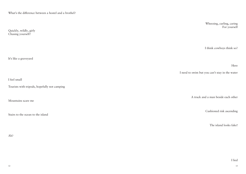What's the difference between a hostel and a brothel?

Quickly, wildly, girly Chasing yourself? It's like a graveyard I feel small Tourists with tripods, hopefully not camping Mountains scare me Stairs to the ocean to the island Wheezing, curling, caring For yourself I think cowboys think so? Here I need to swim but you can't stay in the water A truck and a man beside each other Cushioned risk ascending The island looks fake!

Ah?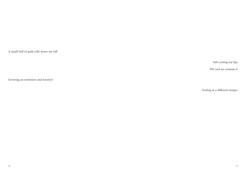A small ball of guilt rolls down my hill

Salt coating my lips

Till cool air cements it

Growing an extension and tension?

Feeling at a different temper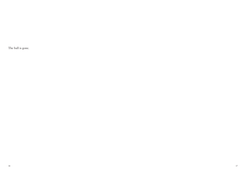The ball is gone.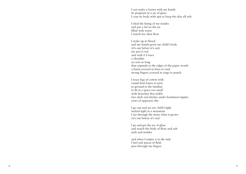I can make a foetus with my hands be pregnant in a jar of glass I coat its body with spit to keep the skin all soft

I shed the lining of my insides and put a lid on the jar filled with water I watch my alien float

I wake up in blood and my hands grow my child's body (it's out before it's out) my pen is red and with it I trace a shoulder an arm so long that expands to the edges of the paper womb a hand covered in lines to read strong fingers covered in rings to punch

I trace legs of cotton with round bent knees to pray to ground in the familiar to fit in a space too small with bracelets that tinkle two dark red stitches under hardened nipples rows of apparent ribs

I go out and see my child's light tucked tight in a mountain I see through the stone what it grows (it's out before it's out)

I go and get the jar of glass and watch the body of flour and salt melt and molder

and when I empty it in the sink I feel soft pieces of flesh pass through my fingers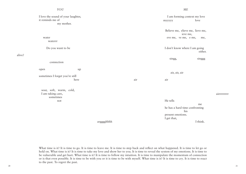## *YOU*  I love the sound of your laughter, it reminds me of my mother. water waterrr Do you want to be connection open up sometimes I forget you're still here sour, soft, warm, cold, *ME* I am forming context my love myyyyy love Believe me, elieve me, lieve me, ieve me, eve me, ve me, e me, me, I don't know where I am going either. singg, singgg air, air, air air air

 I am taking care, sometimes not

He tells me me he has a hard time confronting his present emotions. I get that,

I think.

airrrrrrrrr

argggghhhh

What time is it? It is time to go. It is time to leave me. It is time to step back and reflect on what happened. It is time to let go or hold on. What time is it? It is time to take my love and show her to you. It is time to reveal the system of my emotions. It is time to be vulnerable and get hurt. What time is it? It is time to follow my intuition. It is time to manipulate the momentum of connection or is that even possible. It is time to be with you or it is time to be with myself. What time is it? It is time to cry. It is time to react to the past. To regret the past.

alive?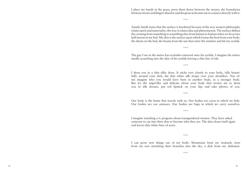I place my hands in the grass, press them down between the straws, the boundaries between straws and fingers dissolve and the grass welcomes me to connect directly with it.

\*\*\*

Amalie Smith states that the surface is burdened because of the way western philosophy relates spirit and materiality, the way it relates idea and phenomenon. The surface defines the crossing from something to something else; from human to human when we lie as two half moons in my bed. My skin is the surface upon which I sense the heat from your body, the sheets on the bed, the beams from the sun that enter the window and hit my eyelids.

\*\*\*

The guy I see in the metro has eyelashes tattooed onto his eyelids. I imagine the tattoo needle scratching into the skin of his eyelids leaving a thin line of ink.

\*\*\*

I dress you in a thin silky dress. It sticks very closely to your body, falls beautifully around your dick, the thin white silk straps over your shoulders. You often imagine who you would have been in another body, in a stronger body. But it's the angel-like and delicate about your body that invites me to dress you in silk dresses, put red lipstick on your lips and take photos of you.

\*\*\*

Our body is the home that travels with us. Our bodies are caves in which we hide. Our bodies are our armours. Our bodies are bags in which we carry ourselves.

\*\*\*

I imagine watching a tv program about transgendered women. They have asked someone to cut into their skin to become who they are. The skin closes itself again and leaves thin white lines of scars.

\*\*\*

I can grow new things out of my body: Mountains from my stomach, trees from my ears stretching their branches into the sky, a dick from my abdomen.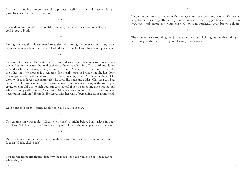I'm the cat crawling into your armpit to protect myself from the cold. I use my furry paws to squeeze my way further in.

\*\*\*

I have diamond breasts. I'm a reptile. I'm lying on the warm stones to heat up my cold blooded blody.

\*\*\*

During the draught this summer I struggled with feeling the outer etches of my body cause the rain would never touch it. I asked for the touch of your hands in replacement.

\*\*\*

I imagine this scene: The water is lit from underneath and becomes turquoise. Two bodies float in the water that makes their surfaces marble-shiny. They twirl and dance around each other down, down, around, around. Afterwards in the sauna one tells the other that her mother is a sculptor. She mostly casts in bronze but she has done few major works in stone as well. The other seems impressed. "It must be difficult to work with such large-scale materials", he says. She nods and adds: "Clay isn't too bad cause with clay you can add and remove as you want. When working with bronze you create one mould with which you can cast several times if something goes wrong, but when working with stone it's 'one shot'. When you chop off one chip of stone you can never put it back on." He nods. He agrees with her way of perceiving stone as material.

\*\*\*

Keep your eyes on the stones. Look closer. Do you see it now?

\*\*\*

The ceramic on your table: "Click, click, click" at night before I fall asleep in your bed. I go: "Click, click, click" with my tung until I reach the same pitch as the ceramic.

\*\*\*

Did you know that the mother and daughter crystals in the clay are communicating? It goes: "Click, click, click".

\*\*\*

You see the terracotta figures dance where they're not and you don't see them dance where they are.

I now know how to touch with my eyes and see with my hands. I'm returning to the trees to gently put my hands on one of their rugged trunks to see your crew-cut head before me, your chiselled jaw and forehead, your brown colours.

\*\*\*

The mountains surrounding the fjord are an open hand holding me, gently cradling me. I imagine the ferry arriving and leaving once a week.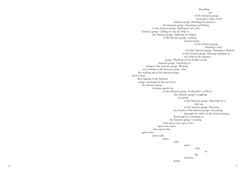Reaching out and the contract of the contract of the contract of the contract of the contract of the contract of the contract of the contract of the contract of the contract of the contract of the contract of the contract of the co of the Samaria gorge. Growing a spine of the Samaria gorge. Smelling the plants in the Samaria gorge. Stretching and lifting in the Samaria gorge. Bathing in oil in the Samaria gorge. Calling no one for help in the Samaria gorge. Splitting my fingers in the Samaria gorge. Getting stretch marks in the Samaria gorge. Starting to like it in the Samaria gorge. Adapting a lifestyle in the Samaria gorge. Hearing whispers in my sleep in the Samaria gorge. Thinking of my mother in the Samaria gorge. Checking for lumps in the Samaria gorge. Waiting not waiting in the Samaria gorge. One day waking up in the Samaria gorge. First crying then sighing in the Samaria gorge. Squinting at the sun from the Samaria gorge. Getting angrily up in the Samaria gorge. Feeling like a walk in the Samaria gorge. Laughing at myself in the Samaria gorge. Allowing for a fuck up in the Samaria gorge. Drawing my breath in the Samaria gorge. Screaming through the valley of the Samaria gorge. Towering for a moment in the Samaria gorge. Creating echo upon echo upon echo upon echo upon echo upon echo upon echo upon echo upon echo upon echo de la contrata de la contrata de la contrata de la contrata de la contrata de la contrata de la contrata in the contract of the contract of the contract of the contract of the contract of the contract of the contract of the contract of the contract of the contract of the contract of the contract of the contract of the contrac the Samaria gorge.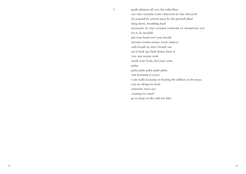1 punk splatters all over the toilet floor let the cleaner come through in the twilight *let yourself be carried away by the greenish fluid* lying down, breathing hard blending in, the cleaner unaware of trampling you *try to be invisible* put your hand over your breath moving down inside your throat *only breath in, don't breath out.* eat it back up, back down, back in you are inside now *inside your body, feel your veins.* pulse, pulse pulse pulse pulse pulse. the blender is loud *I am really focusing on hearing the stillness in the noise.* you are dying too loud spinning too fast *creating too much* go to sleep on the cold wet tiles.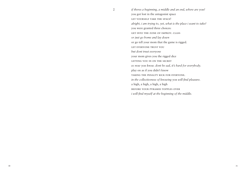2 *if theres a beginning, a middle and an end, where are you?* you got lost in the antagonist space let yourself take the space! *alright, i am trying to, yet, what is the place i want to take?* you were granted three choices: get into the zone of improv. class *or just go home and lay down* or go tell your mom that the game is rigged. let everyone trust you *but dont trust everyone* your mom gives you the rigged dice letting you in on the secret *so now you know. dont be sad, it's hard for everybody.* play on as if you didn't know taking the penalty kick for everyone. *in the collectiveness of knowing you will find pleasure.* a high, a high, a high, a high before your pyramid topples over *i will find myself at the beginning of the middle.*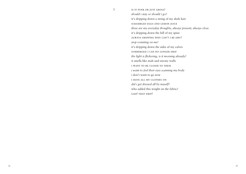3 IS IT PUNK OR JUST GROSS? *should i stay or should i go?* it's dripping down a string of my sleek hair scrambled eggs and lemon juice *these are my everyday thoughts, always present, always close.* it's dripping down the hill of my spine always dripping why can't i be dry? *stop vomiting on me!* it's dripping down the sides of my calves submerged i can no longer drip *the light is flickering, is it morning already?* it smells like malt and sweaty walls i want to be closer to them *i want to feel their eyes scanning my body* i don't want to go now i have all my clothes on *did i get dressed all by myself?* who added this weight on the fabric? GAH! THAT DRIP!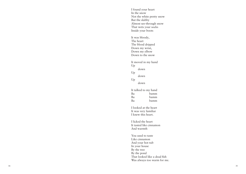I found your heart In the snow Not the white pretty snow But the slabby Almost see-through snow That wets your socks Inside your boots It was bloody, The heart The blood dripped Down my wrist, Down my elbow Down to the snow It moved in my hand Up down Up down Up down It talked to my hand Ba bamm Ba bamm Ba bamm I looked at the heart It was very familiar I knew this heart. I licked the heart It tasted like cinnamon And warmth You used to taste Like cinnamon And your hot tub In your house By the tree By the pond That looked like a dead fish Was always too warm for me.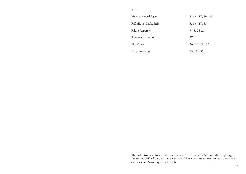## *with*

| Mara Schwerdtfeger    | $3, 10 - 17, 29 - 33$ |
|-----------------------|-----------------------|
| Ráðhildur Ólafsdóttir | $5, 10 - 17, 35$      |
| Rikke Jespersen       | $7 - 8, 23 - 25$      |
| Sunneva Elvarsdóttir  | 27                    |
| Ella Olivia           | $20 - 21, 29 - 33$    |
| Nina Overkott         | $19, 29 - 33$         |

The collective was formed during a week of writing with Nanna Vibe Spejlborg Juelso and Fríða Ísberg at LungA School. They continue to meet to read and share every second Saturday after brunch.